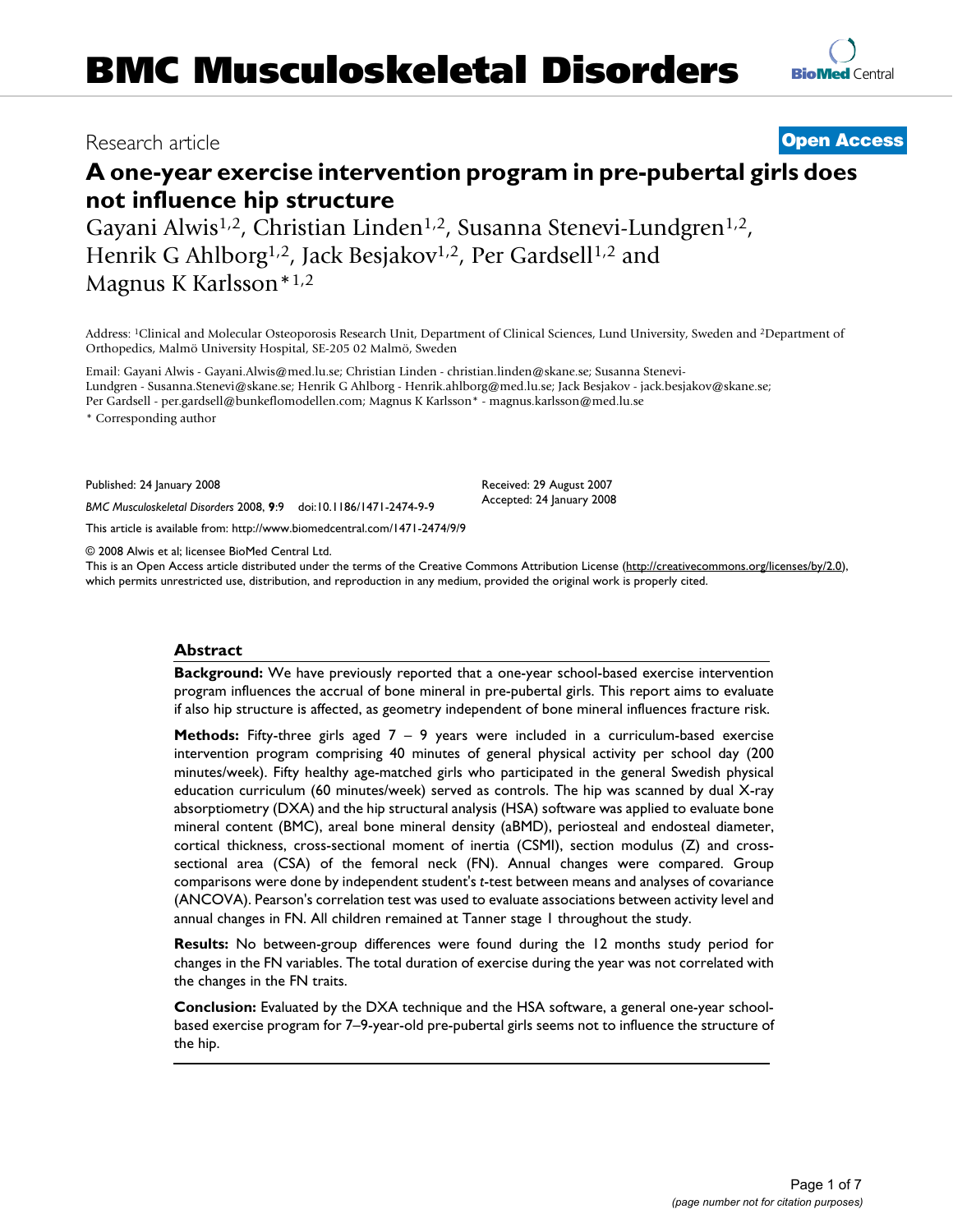**[BioMed](http://www.biomedcentral.com/)** Central

# **A one-year exercise intervention program in pre-pubertal girls does not influence hip structure**

Gayani Alwis<sup>1,2</sup>, Christian Linden<sup>1,2</sup>, Susanna Stenevi-Lundgren<sup>1,2</sup>, Henrik G Ahlborg<sup>1,2</sup>, Jack Besjakov<sup>1,2</sup>, Per Gardsell<sup>1,2</sup> and Magnus K Karlsson\*1,2

Address: 1Clinical and Molecular Osteoporosis Research Unit, Department of Clinical Sciences, Lund University, Sweden and 2Department of Orthopedics, Malmö University Hospital, SE-205 02 Malmö, Sweden

Email: Gayani Alwis - Gayani.Alwis@med.lu.se; Christian Linden - christian.linden@skane.se; Susanna Stenevi-Lundgren - Susanna.Stenevi@skane.se; Henrik G Ahlborg - Henrik.ahlborg@med.lu.se; Jack Besjakov - jack.besjakov@skane.se; Per Gardsell - per.gardsell@bunkeflomodellen.com; Magnus K Karlsson\* - magnus.karlsson@med.lu.se

\* Corresponding author

Published: 24 January 2008

*BMC Musculoskeletal Disorders* 2008, **9**:9 doi:10.1186/1471-2474-9-9

[This article is available from: http://www.biomedcentral.com/1471-2474/9/9](http://www.biomedcentral.com/1471-2474/9/9)

© 2008 Alwis et al; licensee BioMed Central Ltd.

This is an Open Access article distributed under the terms of the Creative Commons Attribution License [\(http://creativecommons.org/licenses/by/2.0\)](http://creativecommons.org/licenses/by/2.0), which permits unrestricted use, distribution, and reproduction in any medium, provided the original work is properly cited.

Received: 29 August 2007 Accepted: 24 January 2008

#### **Abstract**

**Background:** We have previously reported that a one-year school-based exercise intervention program influences the accrual of bone mineral in pre-pubertal girls. This report aims to evaluate if also hip structure is affected, as geometry independent of bone mineral influences fracture risk.

**Methods:** Fifty-three girls aged 7 – 9 years were included in a curriculum-based exercise intervention program comprising 40 minutes of general physical activity per school day (200 minutes/week). Fifty healthy age-matched girls who participated in the general Swedish physical education curriculum (60 minutes/week) served as controls. The hip was scanned by dual X-ray absorptiometry (DXA) and the hip structural analysis (HSA) software was applied to evaluate bone mineral content (BMC), areal bone mineral density (aBMD), periosteal and endosteal diameter, cortical thickness, cross-sectional moment of inertia (CSMI), section modulus (Z) and crosssectional area (CSA) of the femoral neck (FN). Annual changes were compared. Group comparisons were done by independent student's *t*-test between means and analyses of covariance (ANCOVA). Pearson's correlation test was used to evaluate associations between activity level and annual changes in FN. All children remained at Tanner stage 1 throughout the study.

**Results:** No between-group differences were found during the 12 months study period for changes in the FN variables. The total duration of exercise during the year was not correlated with the changes in the FN traits.

**Conclusion:** Evaluated by the DXA technique and the HSA software, a general one-year schoolbased exercise program for 7–9-year-old pre-pubertal girls seems not to influence the structure of the hip.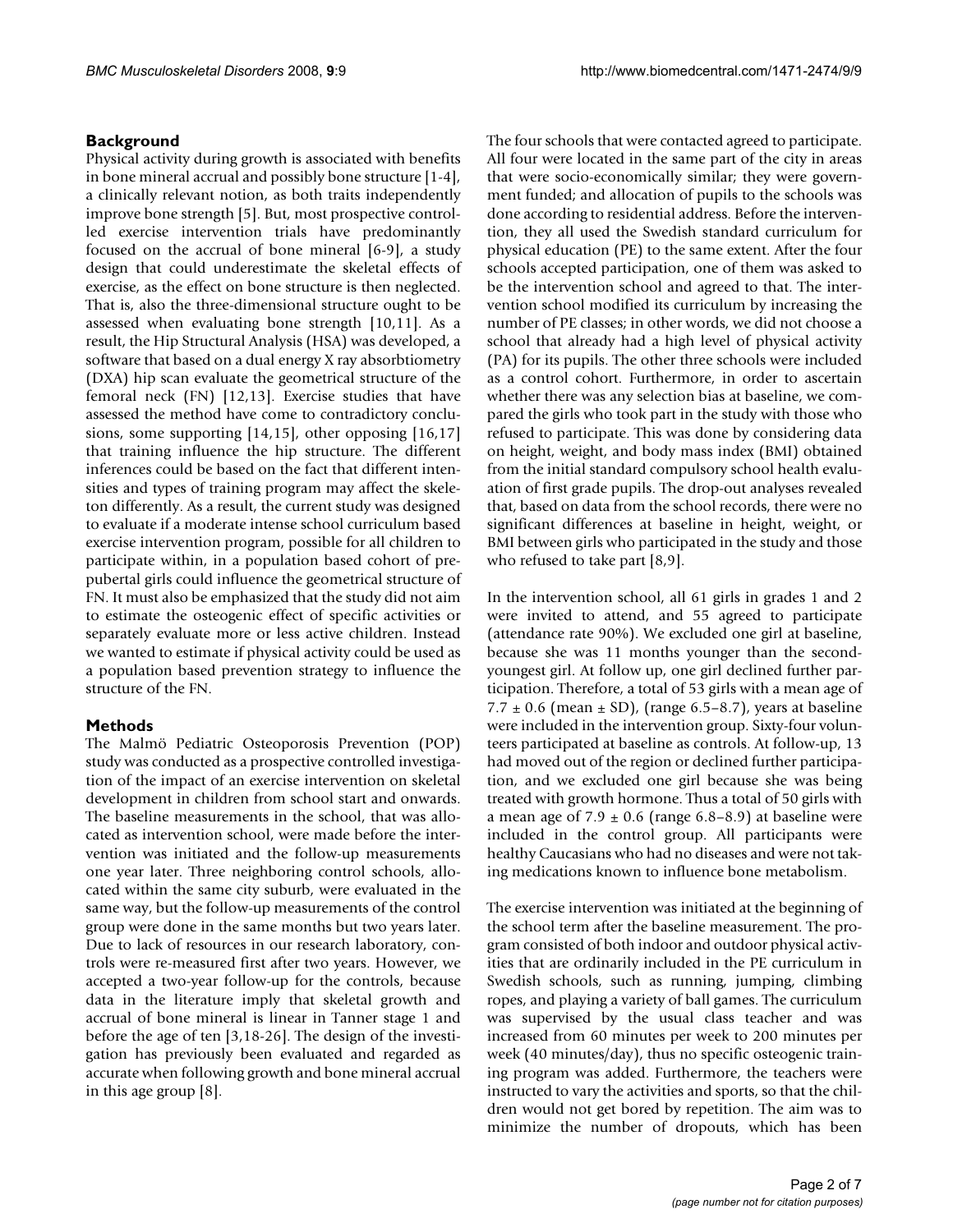## **Background**

Physical activity during growth is associated with benefits in bone mineral accrual and possibly bone structure [1-4], a clinically relevant notion, as both traits independently improve bone strength [5]. But, most prospective controlled exercise intervention trials have predominantly focused on the accrual of bone mineral [6-9], a study design that could underestimate the skeletal effects of exercise, as the effect on bone structure is then neglected. That is, also the three-dimensional structure ought to be assessed when evaluating bone strength [10,11]. As a result, the Hip Structural Analysis (HSA) was developed, a software that based on a dual energy X ray absorbtiometry (DXA) hip scan evaluate the geometrical structure of the femoral neck (FN) [12,13]. Exercise studies that have assessed the method have come to contradictory conclusions, some supporting [14,15], other opposing [16,17] that training influence the hip structure. The different inferences could be based on the fact that different intensities and types of training program may affect the skeleton differently. As a result, the current study was designed to evaluate if a moderate intense school curriculum based exercise intervention program, possible for all children to participate within, in a population based cohort of prepubertal girls could influence the geometrical structure of FN. It must also be emphasized that the study did not aim to estimate the osteogenic effect of specific activities or separately evaluate more or less active children. Instead we wanted to estimate if physical activity could be used as a population based prevention strategy to influence the structure of the FN.

## **Methods**

The Malmö Pediatric Osteoporosis Prevention (POP) study was conducted as a prospective controlled investigation of the impact of an exercise intervention on skeletal development in children from school start and onwards. The baseline measurements in the school, that was allocated as intervention school, were made before the intervention was initiated and the follow-up measurements one year later. Three neighboring control schools, allocated within the same city suburb, were evaluated in the same way, but the follow-up measurements of the control group were done in the same months but two years later. Due to lack of resources in our research laboratory, controls were re-measured first after two years. However, we accepted a two-year follow-up for the controls, because data in the literature imply that skeletal growth and accrual of bone mineral is linear in Tanner stage 1 and before the age of ten [3,18-26]. The design of the investigation has previously been evaluated and regarded as accurate when following growth and bone mineral accrual in this age group [8].

The four schools that were contacted agreed to participate. All four were located in the same part of the city in areas that were socio-economically similar; they were government funded; and allocation of pupils to the schools was done according to residential address. Before the intervention, they all used the Swedish standard curriculum for physical education (PE) to the same extent. After the four schools accepted participation, one of them was asked to be the intervention school and agreed to that. The intervention school modified its curriculum by increasing the number of PE classes; in other words, we did not choose a school that already had a high level of physical activity (PA) for its pupils. The other three schools were included as a control cohort. Furthermore, in order to ascertain whether there was any selection bias at baseline, we compared the girls who took part in the study with those who refused to participate. This was done by considering data on height, weight, and body mass index (BMI) obtained from the initial standard compulsory school health evaluation of first grade pupils. The drop-out analyses revealed that, based on data from the school records, there were no significant differences at baseline in height, weight, or BMI between girls who participated in the study and those who refused to take part [8,9].

In the intervention school, all 61 girls in grades 1 and 2 were invited to attend, and 55 agreed to participate (attendance rate 90%). We excluded one girl at baseline, because she was 11 months younger than the secondyoungest girl. At follow up, one girl declined further participation. Therefore, a total of 53 girls with a mean age of  $7.7 \pm 0.6$  (mean  $\pm$  SD), (range 6.5–8.7), years at baseline were included in the intervention group. Sixty-four volunteers participated at baseline as controls. At follow-up, 13 had moved out of the region or declined further participation, and we excluded one girl because she was being treated with growth hormone. Thus a total of 50 girls with a mean age of 7.9  $\pm$  0.6 (range 6.8–8.9) at baseline were included in the control group. All participants were healthy Caucasians who had no diseases and were not taking medications known to influence bone metabolism.

The exercise intervention was initiated at the beginning of the school term after the baseline measurement. The program consisted of both indoor and outdoor physical activities that are ordinarily included in the PE curriculum in Swedish schools, such as running, jumping, climbing ropes, and playing a variety of ball games. The curriculum was supervised by the usual class teacher and was increased from 60 minutes per week to 200 minutes per week (40 minutes/day), thus no specific osteogenic training program was added. Furthermore, the teachers were instructed to vary the activities and sports, so that the children would not get bored by repetition. The aim was to minimize the number of dropouts, which has been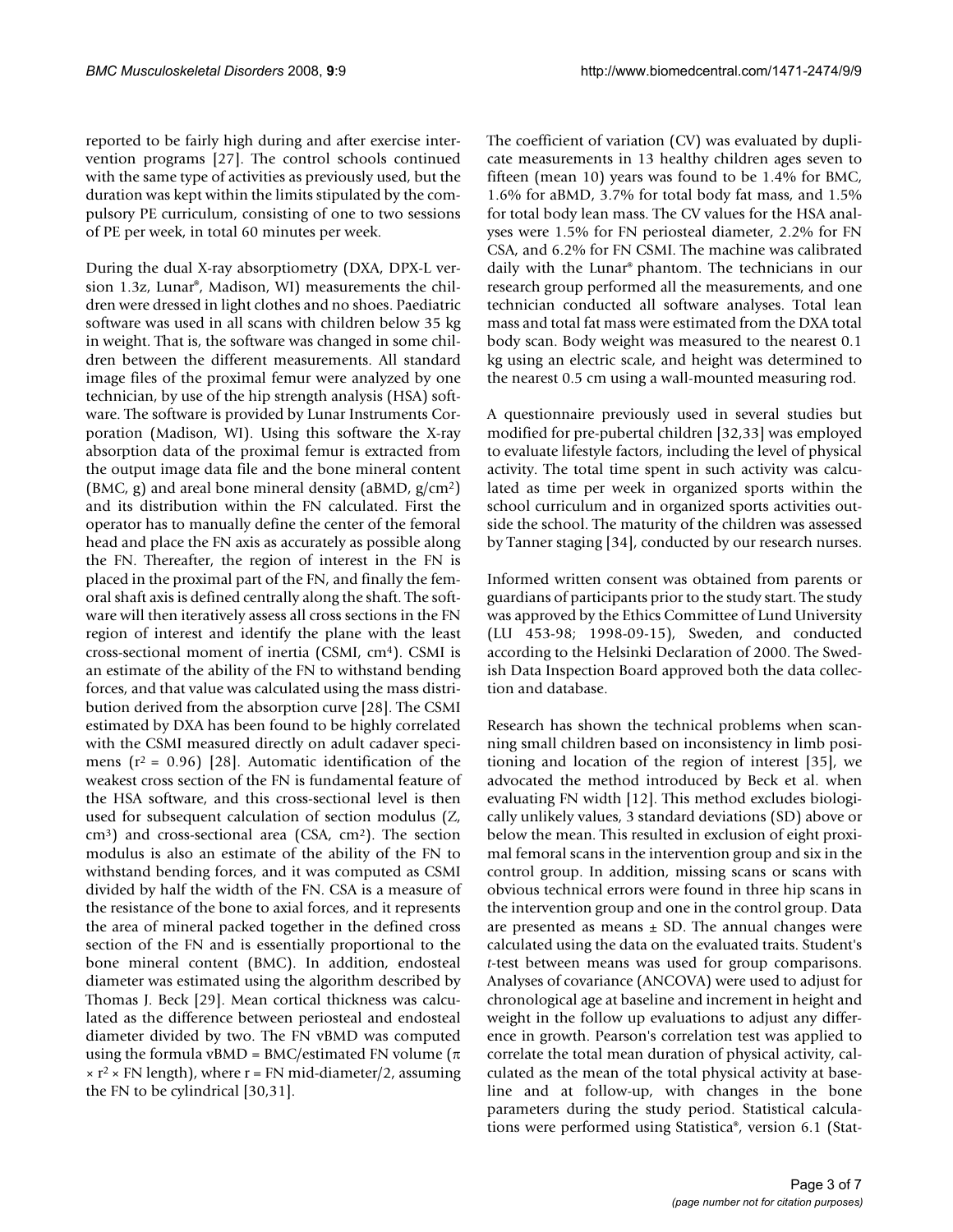reported to be fairly high during and after exercise intervention programs [27]. The control schools continued with the same type of activities as previously used, but the duration was kept within the limits stipulated by the compulsory PE curriculum, consisting of one to two sessions of PE per week, in total 60 minutes per week.

During the dual X-ray absorptiometry (DXA, DPX-L version 1.3z, Lunar®, Madison, WI) measurements the children were dressed in light clothes and no shoes. Paediatric software was used in all scans with children below 35 kg in weight. That is, the software was changed in some children between the different measurements. All standard image files of the proximal femur were analyzed by one technician, by use of the hip strength analysis (HSA) software. The software is provided by Lunar Instruments Corporation (Madison, WI). Using this software the X-ray absorption data of the proximal femur is extracted from the output image data file and the bone mineral content (BMC, g) and areal bone mineral density (aBMD,  $g/cm^2$ ) and its distribution within the FN calculated. First the operator has to manually define the center of the femoral head and place the FN axis as accurately as possible along the FN. Thereafter, the region of interest in the FN is placed in the proximal part of the FN, and finally the femoral shaft axis is defined centrally along the shaft. The software will then iteratively assess all cross sections in the FN region of interest and identify the plane with the least cross-sectional moment of inertia (CSMI, cm4). CSMI is an estimate of the ability of the FN to withstand bending forces, and that value was calculated using the mass distribution derived from the absorption curve [28]. The CSMI estimated by DXA has been found to be highly correlated with the CSMI measured directly on adult cadaver specimens ( $r^2$  = 0.96) [28]. Automatic identification of the weakest cross section of the FN is fundamental feature of the HSA software, and this cross-sectional level is then used for subsequent calculation of section modulus (Z,  $\text{cm}^3$ ) and cross-sectional area (CSA,  $\text{cm}^2$ ). The section modulus is also an estimate of the ability of the FN to withstand bending forces, and it was computed as CSMI divided by half the width of the FN. CSA is a measure of the resistance of the bone to axial forces, and it represents the area of mineral packed together in the defined cross section of the FN and is essentially proportional to the bone mineral content (BMC). In addition, endosteal diameter was estimated using the algorithm described by Thomas J. Beck [29]. Mean cortical thickness was calculated as the difference between periosteal and endosteal diameter divided by two. The FN vBMD was computed using the formula vBMD = BMC/estimated FN volume ( $\pi$  $\times$  r<sup>2</sup>  $\times$  FN length), where r = FN mid-diameter/2, assuming the FN to be cylindrical [30,31].

The coefficient of variation (CV) was evaluated by duplicate measurements in 13 healthy children ages seven to fifteen (mean 10) years was found to be 1.4% for BMC, 1.6% for aBMD, 3.7% for total body fat mass, and 1.5% for total body lean mass. The CV values for the HSA analyses were 1.5% for FN periosteal diameter, 2.2% for FN CSA, and 6.2% for FN CSMI. The machine was calibrated daily with the Lunar® phantom. The technicians in our research group performed all the measurements, and one technician conducted all software analyses. Total lean mass and total fat mass were estimated from the DXA total body scan. Body weight was measured to the nearest 0.1 kg using an electric scale, and height was determined to the nearest 0.5 cm using a wall-mounted measuring rod.

A questionnaire previously used in several studies but modified for pre-pubertal children [32,33] was employed to evaluate lifestyle factors, including the level of physical activity. The total time spent in such activity was calculated as time per week in organized sports within the school curriculum and in organized sports activities outside the school. The maturity of the children was assessed by Tanner staging [34], conducted by our research nurses.

Informed written consent was obtained from parents or guardians of participants prior to the study start. The study was approved by the Ethics Committee of Lund University (LU 453-98; 1998-09-15), Sweden, and conducted according to the Helsinki Declaration of 2000. The Swedish Data Inspection Board approved both the data collection and database.

Research has shown the technical problems when scanning small children based on inconsistency in limb positioning and location of the region of interest [35], we advocated the method introduced by Beck et al. when evaluating FN width [12]. This method excludes biologically unlikely values, 3 standard deviations (SD) above or below the mean. This resulted in exclusion of eight proximal femoral scans in the intervention group and six in the control group. In addition, missing scans or scans with obvious technical errors were found in three hip scans in the intervention group and one in the control group. Data are presented as means  $\pm$  SD. The annual changes were calculated using the data on the evaluated traits. Student's *t*-test between means was used for group comparisons. Analyses of covariance (ANCOVA) were used to adjust for chronological age at baseline and increment in height and weight in the follow up evaluations to adjust any difference in growth. Pearson's correlation test was applied to correlate the total mean duration of physical activity, calculated as the mean of the total physical activity at baseline and at follow-up, with changes in the bone parameters during the study period. Statistical calculations were performed using Statistica®, version 6.1 (Stat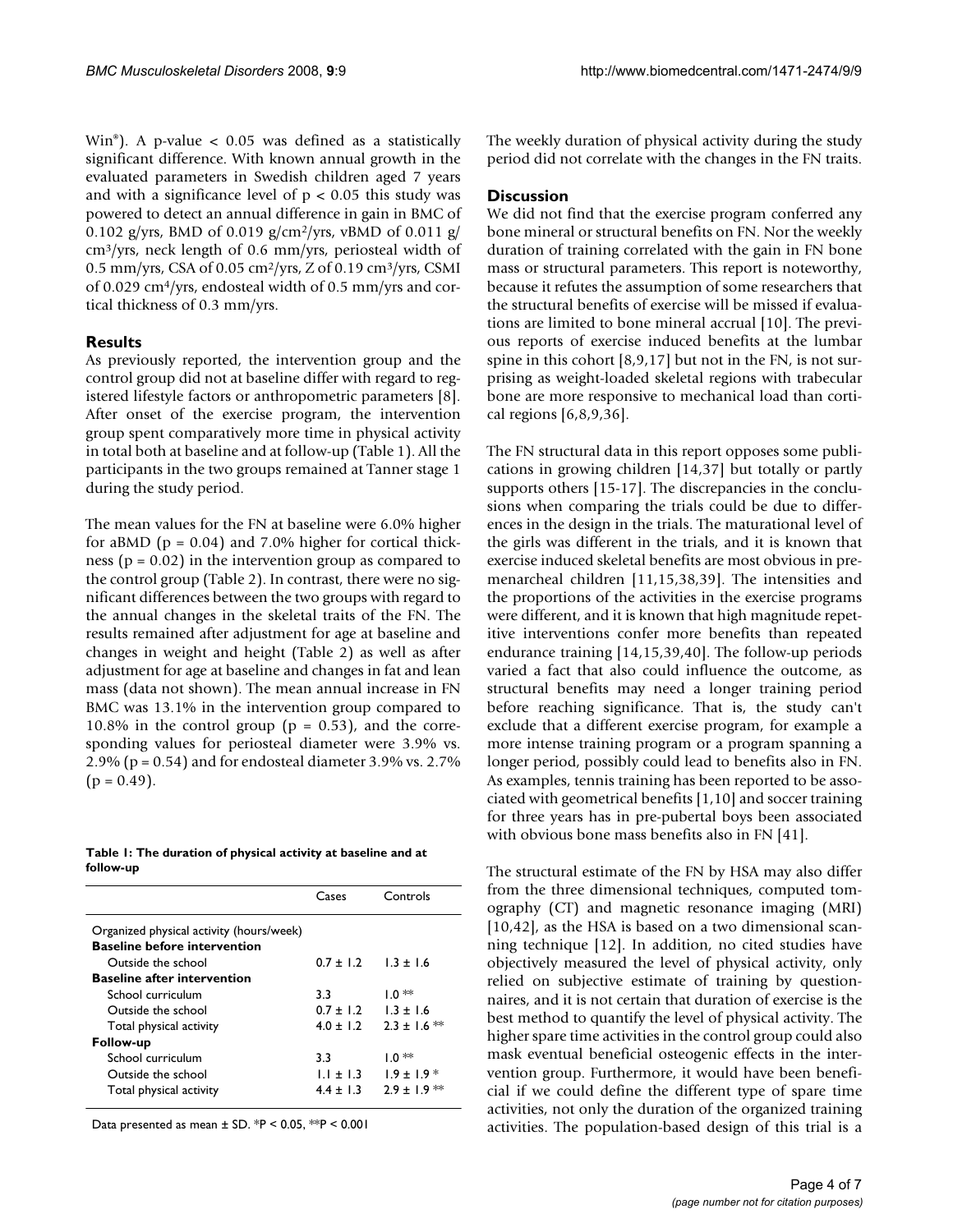Win<sup>®</sup>). A p-value  $< 0.05$  was defined as a statistically significant difference. With known annual growth in the evaluated parameters in Swedish children aged 7 years and with a significance level of  $p < 0.05$  this study was powered to detect an annual difference in gain in BMC of 0.102 g/yrs, BMD of 0.019 g/cm2/yrs, vBMD of 0.011 g/ cm3/yrs, neck length of 0.6 mm/yrs, periosteal width of 0.5 mm/yrs, CSA of 0.05 cm2/yrs, Z of 0.19 cm3/yrs, CSMI of 0.029 cm4/yrs, endosteal width of 0.5 mm/yrs and cortical thickness of 0.3 mm/yrs.

#### **Results**

As previously reported, the intervention group and the control group did not at baseline differ with regard to registered lifestyle factors or anthropometric parameters [8]. After onset of the exercise program, the intervention group spent comparatively more time in physical activity in total both at baseline and at follow-up (Table 1). All the participants in the two groups remained at Tanner stage 1 during the study period.

The mean values for the FN at baseline were 6.0% higher for aBMD ( $p = 0.04$ ) and 7.0% higher for cortical thickness ( $p = 0.02$ ) in the intervention group as compared to the control group (Table 2). In contrast, there were no significant differences between the two groups with regard to the annual changes in the skeletal traits of the FN. The results remained after adjustment for age at baseline and changes in weight and height (Table 2) as well as after adjustment for age at baseline and changes in fat and lean mass (data not shown). The mean annual increase in FN BMC was 13.1% in the intervention group compared to 10.8% in the control group ( $p = 0.53$ ), and the corresponding values for periosteal diameter were 3.9% vs. 2.9% (p = 0.54) and for endosteal diameter 3.9% vs. 2.7%  $(p = 0.49)$ .

**Table 1: The duration of physical activity at baseline and at follow-up**

|                                          | Cases       | Controls       |
|------------------------------------------|-------------|----------------|
| Organized physical activity (hours/week) |             |                |
| <b>Baseline before intervention</b>      |             |                |
| Outside the school                       | $0.7 + 1.2$ | $1.3 \pm 1.6$  |
| <b>Baseline after intervention</b>       |             |                |
| School curriculum                        | 3.3         | $1.0**$        |
| Outside the school                       | $0.7 + 1.2$ | $1.3 \pm 1.6$  |
| Total physical activity                  | $4.0 + 1.2$ | $2.3 + 1.6$ ** |
| Follow-up                                |             |                |
| School curriculum                        | 3.3         | $1.0**$        |
| Outside the school                       | $1.1 + 1.3$ | $1.9 + 1.9 *$  |
| Total physical activity                  | $4.4 + 1.3$ | $2.9 + 1.9$ ** |

Data presented as mean  $\pm$  SD. \*P < 0.05, \*\*P < 0.001

The weekly duration of physical activity during the study period did not correlate with the changes in the FN traits.

#### **Discussion**

We did not find that the exercise program conferred any bone mineral or structural benefits on FN. Nor the weekly duration of training correlated with the gain in FN bone mass or structural parameters. This report is noteworthy, because it refutes the assumption of some researchers that the structural benefits of exercise will be missed if evaluations are limited to bone mineral accrual [10]. The previous reports of exercise induced benefits at the lumbar spine in this cohort [8,9,17] but not in the FN, is not surprising as weight-loaded skeletal regions with trabecular bone are more responsive to mechanical load than cortical regions [6,8,9,36].

The FN structural data in this report opposes some publications in growing children [14,37] but totally or partly supports others [15-17]. The discrepancies in the conclusions when comparing the trials could be due to differences in the design in the trials. The maturational level of the girls was different in the trials, and it is known that exercise induced skeletal benefits are most obvious in premenarcheal children [11,15,38,39]. The intensities and the proportions of the activities in the exercise programs were different, and it is known that high magnitude repetitive interventions confer more benefits than repeated endurance training [14,15,39,40]. The follow-up periods varied a fact that also could influence the outcome, as structural benefits may need a longer training period before reaching significance. That is, the study can't exclude that a different exercise program, for example a more intense training program or a program spanning a longer period, possibly could lead to benefits also in FN. As examples, tennis training has been reported to be associated with geometrical benefits [1,10] and soccer training for three years has in pre-pubertal boys been associated with obvious bone mass benefits also in FN [41].

The structural estimate of the FN by HSA may also differ from the three dimensional techniques, computed tomography (CT) and magnetic resonance imaging (MRI) [10,42], as the HSA is based on a two dimensional scanning technique [12]. In addition, no cited studies have objectively measured the level of physical activity, only relied on subjective estimate of training by questionnaires, and it is not certain that duration of exercise is the best method to quantify the level of physical activity. The higher spare time activities in the control group could also mask eventual beneficial osteogenic effects in the intervention group. Furthermore, it would have been beneficial if we could define the different type of spare time activities, not only the duration of the organized training activities. The population-based design of this trial is a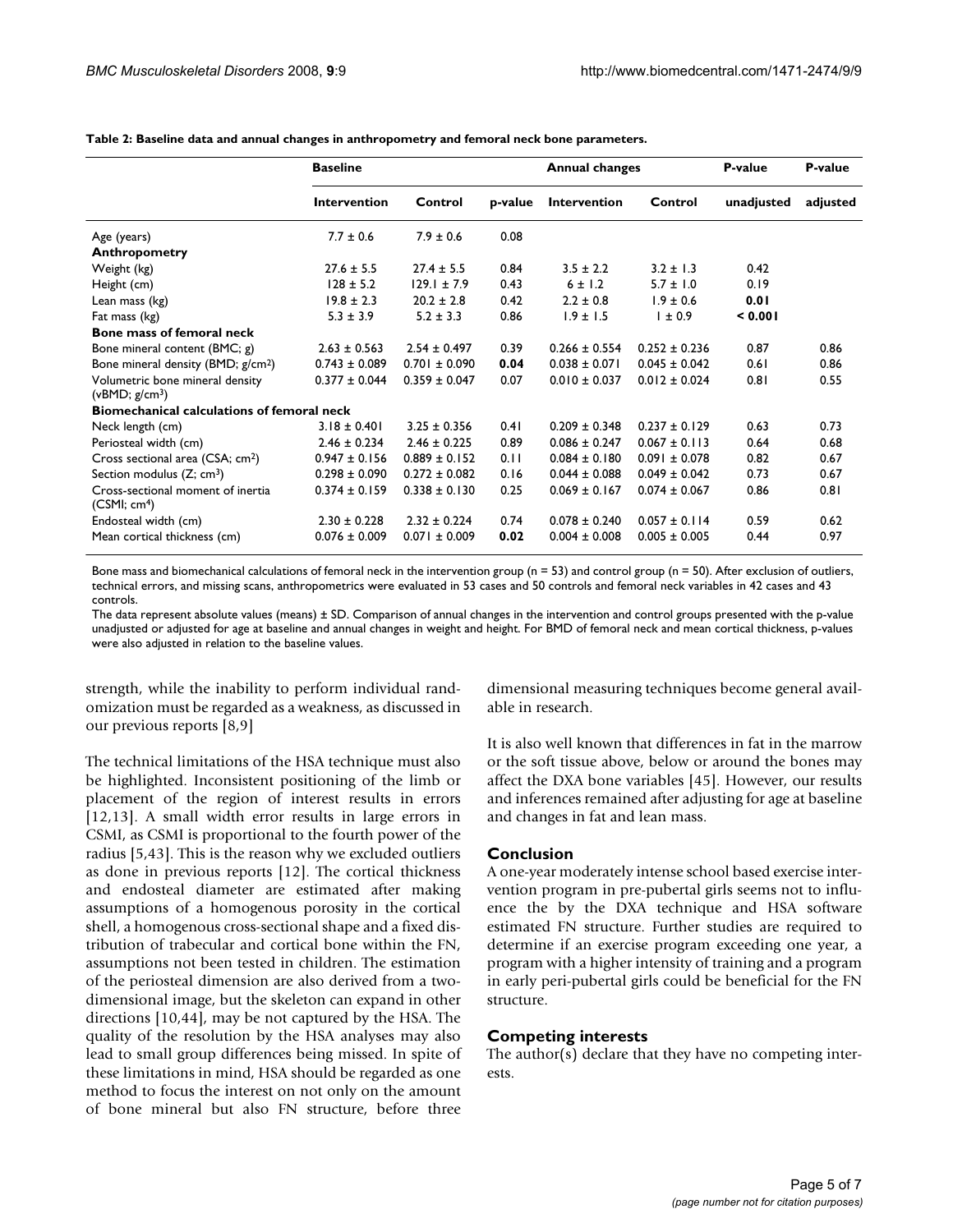|                                                               | <b>Baseline</b>     |                   | <b>Annual changes</b> |                     |                   | P-value    | P-value  |
|---------------------------------------------------------------|---------------------|-------------------|-----------------------|---------------------|-------------------|------------|----------|
|                                                               | <b>Intervention</b> | Control           | p-value               | <b>Intervention</b> | Control           | unadjusted | adjusted |
| Age (years)                                                   | $7.7 \pm 0.6$       | $7.9 \pm 0.6$     | 0.08                  |                     |                   |            |          |
| Anthropometry                                                 |                     |                   |                       |                     |                   |            |          |
| Weight (kg)                                                   | $27.6 \pm 5.5$      | $27.4 \pm 5.5$    | 0.84                  | $3.5 \pm 2.2$       | $3.2 \pm 1.3$     | 0.42       |          |
| Height (cm)                                                   | $128 \pm 5.2$       | $129.1 \pm 7.9$   | 0.43                  | $6 \pm 1.2$         | $5.7 \pm 1.0$     | 0.19       |          |
| Lean mass (kg)                                                | $19.8 \pm 2.3$      | $20.2 \pm 2.8$    | 0.42                  | $2.2 \pm 0.8$       | $1.9 \pm 0.6$     | 0.01       |          |
| Fat mass (kg)                                                 | $5.3 \pm 3.9$       | $5.2 \pm 3.3$     | 0.86                  | $1.9 \pm 1.5$       | $1 \pm 0.9$       | 0.001      |          |
| <b>Bone mass of femoral neck</b>                              |                     |                   |                       |                     |                   |            |          |
| Bone mineral content (BMC; g)                                 | $2.63 \pm 0.563$    | $2.54 \pm 0.497$  | 0.39                  | $0.266 \pm 0.554$   | $0.252 \pm 0.236$ | 0.87       | 0.86     |
| Bone mineral density (BMD; g/cm <sup>2</sup> )                | $0.743 \pm 0.089$   | $0.701 \pm 0.090$ | 0.04                  | $0.038 \pm 0.071$   | $0.045 \pm 0.042$ | 0.61       | 0.86     |
| Volumetric bone mineral density<br>(vBMD; g/cm <sup>3</sup> ) | $0.377 \pm 0.044$   | $0.359 \pm 0.047$ | 0.07                  | $0.010 \pm 0.037$   | $0.012 \pm 0.024$ | 0.81       | 0.55     |
| <b>Biomechanical calculations of femoral neck</b>             |                     |                   |                       |                     |                   |            |          |
| Neck length (cm)                                              | $3.18 \pm 0.401$    | $3.25 \pm 0.356$  | 0.41                  | $0.209 \pm 0.348$   | $0.237 \pm 0.129$ | 0.63       | 0.73     |
| Periosteal width (cm)                                         | $2.46 \pm 0.234$    | $2.46 \pm 0.225$  | 0.89                  | $0.086 \pm 0.247$   | $0.067 \pm 0.113$ | 0.64       | 0.68     |
| Cross sectional area (CSA; cm <sup>2</sup> )                  | $0.947 \pm 0.156$   | $0.889 \pm 0.152$ | 0.11                  | $0.084 \pm 0.180$   | $0.091 \pm 0.078$ | 0.82       | 0.67     |
| Section modulus $(Z; cm3)$                                    | $0.298 \pm 0.090$   | $0.272 \pm 0.082$ | 0.16                  | $0.044 \pm 0.088$   | $0.049 \pm 0.042$ | 0.73       | 0.67     |
| Cross-sectional moment of inertia<br>(CSMI; cm <sup>4</sup> ) | $0.374 \pm 0.159$   | $0.338 \pm 0.130$ | 0.25                  | $0.069 \pm 0.167$   | $0.074 \pm 0.067$ | 0.86       | 0.81     |
| Endosteal width (cm)                                          | $2.30 \pm 0.228$    | $2.32 \pm 0.224$  | 0.74                  | $0.078 \pm 0.240$   | $0.057 \pm 0.114$ | 0.59       | 0.62     |
| Mean cortical thickness (cm)                                  | $0.076 \pm 0.009$   | $0.071 \pm 0.009$ | 0.02                  | $0.004 \pm 0.008$   | $0.005 \pm 0.005$ | 0.44       | 0.97     |

**Table 2: Baseline data and annual changes in anthropometry and femoral neck bone parameters.**

Bone mass and biomechanical calculations of femoral neck in the intervention group (n = 53) and control group (n = 50). After exclusion of outliers, technical errors, and missing scans, anthropometrics were evaluated in 53 cases and 50 controls and femoral neck variables in 42 cases and 43 controls.

The data represent absolute values (means) ± SD. Comparison of annual changes in the intervention and control groups presented with the p-value unadjusted or adjusted for age at baseline and annual changes in weight and height. For BMD of femoral neck and mean cortical thickness, p-values were also adjusted in relation to the baseline values.

strength, while the inability to perform individual randomization must be regarded as a weakness, as discussed in our previous reports [8,9]

The technical limitations of the HSA technique must also be highlighted. Inconsistent positioning of the limb or placement of the region of interest results in errors [12,13]. A small width error results in large errors in CSMI, as CSMI is proportional to the fourth power of the radius [5,43]. This is the reason why we excluded outliers as done in previous reports [12]. The cortical thickness and endosteal diameter are estimated after making assumptions of a homogenous porosity in the cortical shell, a homogenous cross-sectional shape and a fixed distribution of trabecular and cortical bone within the FN, assumptions not been tested in children. The estimation of the periosteal dimension are also derived from a twodimensional image, but the skeleton can expand in other directions [10,44], may be not captured by the HSA. The quality of the resolution by the HSA analyses may also lead to small group differences being missed. In spite of these limitations in mind, HSA should be regarded as one method to focus the interest on not only on the amount of bone mineral but also FN structure, before three dimensional measuring techniques become general available in research.

It is also well known that differences in fat in the marrow or the soft tissue above, below or around the bones may affect the DXA bone variables [45]. However, our results and inferences remained after adjusting for age at baseline and changes in fat and lean mass.

#### **Conclusion**

A one-year moderately intense school based exercise intervention program in pre-pubertal girls seems not to influence the by the DXA technique and HSA software estimated FN structure. Further studies are required to determine if an exercise program exceeding one year, a program with a higher intensity of training and a program in early peri-pubertal girls could be beneficial for the FN structure.

#### **Competing interests**

The author(s) declare that they have no competing interests.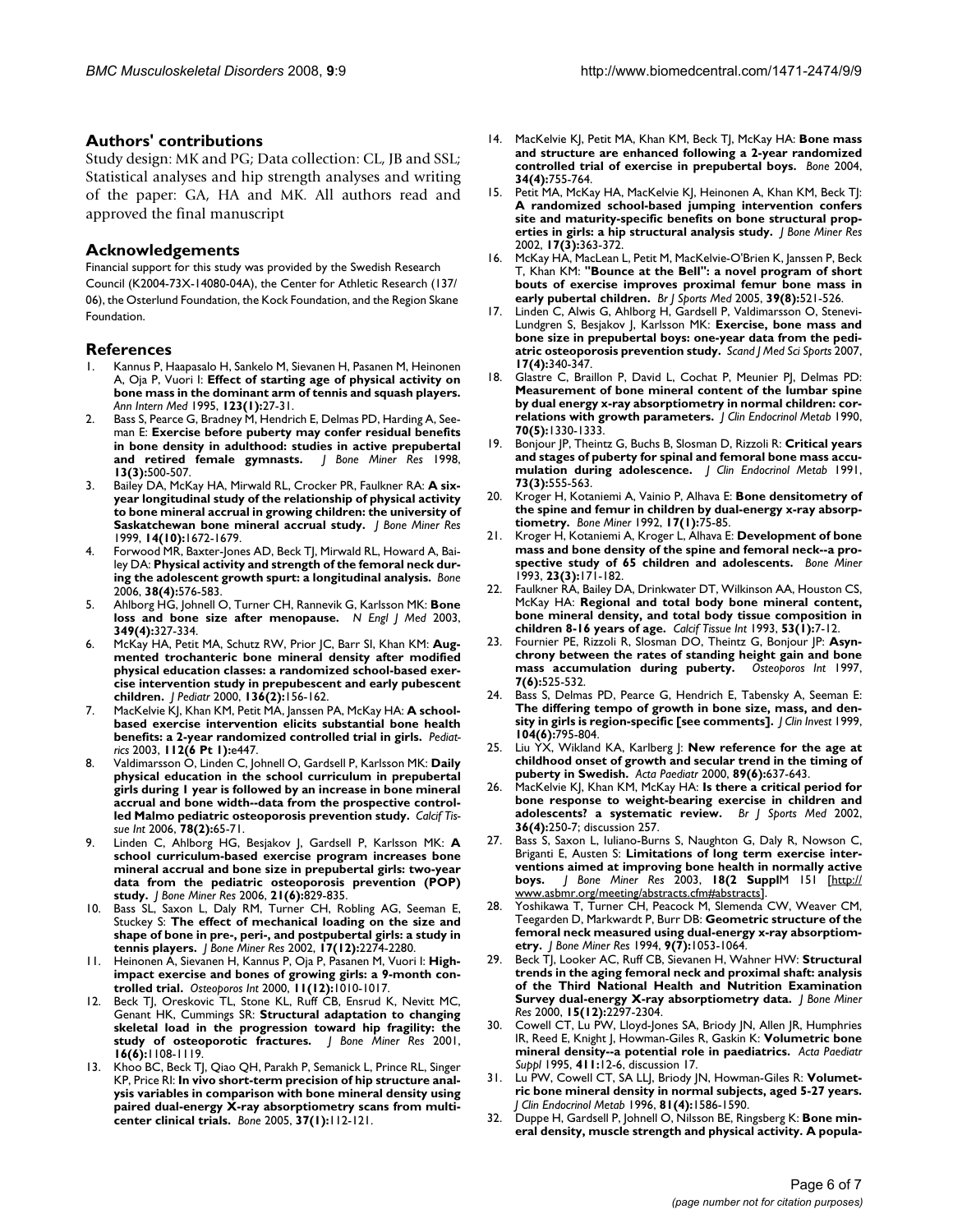#### **Authors' contributions**

Study design: MK and PG; Data collection: CL, JB and SSL; Statistical analyses and hip strength analyses and writing of the paper: GA, HA and MK. All authors read and approved the final manuscript

#### **Acknowledgements**

Financial support for this study was provided by the Swedish Research Council (K2004-73X-14080-04A), the Center for Athletic Research (137/ 06), the Osterlund Foundation, the Kock Foundation, and the Region Skane Foundation.

#### **References**

- 1. Kannus P, Haapasalo H, Sankelo M, Sievanen H, Pasanen M, Heinonen A, Oja P, Vuori I: **[Effect of starting age of physical activity on](http://www.ncbi.nlm.nih.gov/entrez/query.fcgi?cmd=Retrieve&db=PubMed&dopt=Abstract&list_uids=7762910) [bone mass in the dominant arm of tennis and squash players.](http://www.ncbi.nlm.nih.gov/entrez/query.fcgi?cmd=Retrieve&db=PubMed&dopt=Abstract&list_uids=7762910)** *Ann Intern Med* 1995, **123(1):**27-31.
- 2. Bass S, Pearce G, Bradney M, Hendrich E, Delmas PD, Harding A, Seeman E: **[Exercise before puberty may confer residual benefits](http://www.ncbi.nlm.nih.gov/entrez/query.fcgi?cmd=Retrieve&db=PubMed&dopt=Abstract&list_uids=9525351) [in bone density in adulthood: studies in active prepubertal](http://www.ncbi.nlm.nih.gov/entrez/query.fcgi?cmd=Retrieve&db=PubMed&dopt=Abstract&list_uids=9525351)** [and retired female gymnasts.](http://www.ncbi.nlm.nih.gov/entrez/query.fcgi?cmd=Retrieve&db=PubMed&dopt=Abstract&list_uids=9525351) **13(3):**500-507.
- 3. Bailey DA, McKay HA, Mirwald RL, Crocker PR, Faulkner RA: **[A six](http://www.ncbi.nlm.nih.gov/entrez/query.fcgi?cmd=Retrieve&db=PubMed&dopt=Abstract&list_uids=10491214)year longitudinal study of the relationship of physical activity [to bone mineral accrual in growing children: the university of](http://www.ncbi.nlm.nih.gov/entrez/query.fcgi?cmd=Retrieve&db=PubMed&dopt=Abstract&list_uids=10491214) [Saskatchewan bone mineral accrual study.](http://www.ncbi.nlm.nih.gov/entrez/query.fcgi?cmd=Retrieve&db=PubMed&dopt=Abstract&list_uids=10491214)** *J Bone Miner Res* 1999, **14(10):**1672-1679.
- 4. Forwood MR, Baxter-Jones AD, Beck TJ, Mirwald RL, Howard A, Bailey DA: **[Physical activity and strength of the femoral neck dur](http://www.ncbi.nlm.nih.gov/entrez/query.fcgi?cmd=Retrieve&db=PubMed&dopt=Abstract&list_uids=16386968)[ing the adolescent growth spurt: a longitudinal analysis.](http://www.ncbi.nlm.nih.gov/entrez/query.fcgi?cmd=Retrieve&db=PubMed&dopt=Abstract&list_uids=16386968)** *Bone* 2006, **38(4):**576-583.
- 5. Ahlborg HG, Johnell O, Turner CH, Rannevik G, Karlsson MK: **[Bone](http://www.ncbi.nlm.nih.gov/entrez/query.fcgi?cmd=Retrieve&db=PubMed&dopt=Abstract&list_uids=12878739) [loss and bone size after menopause.](http://www.ncbi.nlm.nih.gov/entrez/query.fcgi?cmd=Retrieve&db=PubMed&dopt=Abstract&list_uids=12878739)** *N Engl J Med* 2003, **349(4):**327-334.
- 6. McKay HA, Petit MA, Schutz RW, Prior JC, Barr SI, Khan KM: **[Aug](http://www.ncbi.nlm.nih.gov/entrez/query.fcgi?cmd=Retrieve&db=PubMed&dopt=Abstract&list_uids=10657819)mented trochanteric bone mineral density after modified [physical education classes: a randomized school-based exer](http://www.ncbi.nlm.nih.gov/entrez/query.fcgi?cmd=Retrieve&db=PubMed&dopt=Abstract&list_uids=10657819)cise intervention study in prepubescent and early pubescent [children.](http://www.ncbi.nlm.nih.gov/entrez/query.fcgi?cmd=Retrieve&db=PubMed&dopt=Abstract&list_uids=10657819)** *J Pediatr* 2000, **136(2):**156-162.
- MacKelvie KJ, Khan KM, Petit MA, Janssen PA, McKay HA: [A school](http://www.ncbi.nlm.nih.gov/entrez/query.fcgi?cmd=Retrieve&db=PubMed&dopt=Abstract&list_uids=14654643)**[based exercise intervention elicits substantial bone health](http://www.ncbi.nlm.nih.gov/entrez/query.fcgi?cmd=Retrieve&db=PubMed&dopt=Abstract&list_uids=14654643) [benefits: a 2-year randomized controlled trial in girls.](http://www.ncbi.nlm.nih.gov/entrez/query.fcgi?cmd=Retrieve&db=PubMed&dopt=Abstract&list_uids=14654643)** *Pediatrics* 2003, **112(6 Pt 1):**e447.
- 8. Valdimarsson O, Linden C, Johnell O, Gardsell P, Karlsson MK: **[Daily](http://www.ncbi.nlm.nih.gov/entrez/query.fcgi?cmd=Retrieve&db=PubMed&dopt=Abstract&list_uids=16467972) physical education in the school curriculum in prepubertal [girls during 1 year is followed by an increase in bone mineral](http://www.ncbi.nlm.nih.gov/entrez/query.fcgi?cmd=Retrieve&db=PubMed&dopt=Abstract&list_uids=16467972) accrual and bone width--data from the prospective control[led Malmo pediatric osteoporosis prevention study.](http://www.ncbi.nlm.nih.gov/entrez/query.fcgi?cmd=Retrieve&db=PubMed&dopt=Abstract&list_uids=16467972)** *Calcif Tissue Int* 2006, **78(2):**65-71.
- 9. Linden C, Ahlborg HG, Besjakov J, Gardsell P, Karlsson MK: **[A](http://www.ncbi.nlm.nih.gov/entrez/query.fcgi?cmd=Retrieve&db=PubMed&dopt=Abstract&list_uids=16753013) school curriculum-based exercise program increases bone [mineral accrual and bone size in prepubertal girls: two-year](http://www.ncbi.nlm.nih.gov/entrez/query.fcgi?cmd=Retrieve&db=PubMed&dopt=Abstract&list_uids=16753013) data from the pediatric osteoporosis prevention (POP) [study.](http://www.ncbi.nlm.nih.gov/entrez/query.fcgi?cmd=Retrieve&db=PubMed&dopt=Abstract&list_uids=16753013)** *J Bone Miner Res* 2006, **21(6):**829-835.
- 10. Bass SL, Saxon L, Daly RM, Turner CH, Robling AG, Seeman E, Stuckey S: **[The effect of mechanical loading on the size and](http://www.ncbi.nlm.nih.gov/entrez/query.fcgi?cmd=Retrieve&db=PubMed&dopt=Abstract&list_uids=12469922) [shape of bone in pre-, peri-, and postpubertal girls: a study in](http://www.ncbi.nlm.nih.gov/entrez/query.fcgi?cmd=Retrieve&db=PubMed&dopt=Abstract&list_uids=12469922) [tennis players.](http://www.ncbi.nlm.nih.gov/entrez/query.fcgi?cmd=Retrieve&db=PubMed&dopt=Abstract&list_uids=12469922)** *J Bone Miner Res* 2002, **17(12):**2274-2280.
- 11. Heinonen A, Sievanen H, Kannus P, Oja P, Pasanen M, Vuori I: **[High](http://www.ncbi.nlm.nih.gov/entrez/query.fcgi?cmd=Retrieve&db=PubMed&dopt=Abstract&list_uids=11256891)[impact exercise and bones of growing girls: a 9-month con](http://www.ncbi.nlm.nih.gov/entrez/query.fcgi?cmd=Retrieve&db=PubMed&dopt=Abstract&list_uids=11256891)[trolled trial.](http://www.ncbi.nlm.nih.gov/entrez/query.fcgi?cmd=Retrieve&db=PubMed&dopt=Abstract&list_uids=11256891)** *Osteoporos Int* 2000, **11(12):**1010-1017.
- Beck TJ, Oreskovic TL, Stone KL, Ruff CB, Ensrud K, Nevitt MC, Genant HK, Cummings SR: **[Structural adaptation to changing](http://www.ncbi.nlm.nih.gov/entrez/query.fcgi?cmd=Retrieve&db=PubMed&dopt=Abstract&list_uids=11393788) [skeletal load in the progression toward hip fragility: the](http://www.ncbi.nlm.nih.gov/entrez/query.fcgi?cmd=Retrieve&db=PubMed&dopt=Abstract&list_uids=11393788) [study of osteoporotic fractures.](http://www.ncbi.nlm.nih.gov/entrez/query.fcgi?cmd=Retrieve&db=PubMed&dopt=Abstract&list_uids=11393788)** *J Bone Miner Res* 2001, **16(6):**1108-1119.
- Khoo BC, Beck TJ, Qiao QH, Parakh P, Semanick L, Prince RL, Singer KP, Price RI: **[In vivo short-term precision of hip structure anal](http://www.ncbi.nlm.nih.gov/entrez/query.fcgi?cmd=Retrieve&db=PubMed&dopt=Abstract&list_uids=15869917)ysis variables in comparison with bone mineral density using [paired dual-energy X-ray absorptiometry scans from multi](http://www.ncbi.nlm.nih.gov/entrez/query.fcgi?cmd=Retrieve&db=PubMed&dopt=Abstract&list_uids=15869917)[center clinical trials.](http://www.ncbi.nlm.nih.gov/entrez/query.fcgi?cmd=Retrieve&db=PubMed&dopt=Abstract&list_uids=15869917)** *Bone* 2005, **37(1):**112-121.
- 14. MacKelvie KJ, Petit MA, Khan KM, Beck TJ, McKay HA: **[Bone mass](http://www.ncbi.nlm.nih.gov/entrez/query.fcgi?cmd=Retrieve&db=PubMed&dopt=Abstract&list_uids=15050908) [and structure are enhanced following a 2-year randomized](http://www.ncbi.nlm.nih.gov/entrez/query.fcgi?cmd=Retrieve&db=PubMed&dopt=Abstract&list_uids=15050908) [controlled trial of exercise in prepubertal boys.](http://www.ncbi.nlm.nih.gov/entrez/query.fcgi?cmd=Retrieve&db=PubMed&dopt=Abstract&list_uids=15050908)** *Bone* 2004, **34(4):**755-764.
- 15. Petit MA, McKay HA, MacKelvie KJ, Heinonen A, Khan KM, Beck TJ: **A randomized school-based jumping intervention confers [site and maturity-specific benefits on bone structural prop](http://www.ncbi.nlm.nih.gov/entrez/query.fcgi?cmd=Retrieve&db=PubMed&dopt=Abstract&list_uids=11874228)[erties in girls: a hip structural analysis study.](http://www.ncbi.nlm.nih.gov/entrez/query.fcgi?cmd=Retrieve&db=PubMed&dopt=Abstract&list_uids=11874228)** *J Bone Miner Res* 2002, **17(3):**363-372.
- 16. McKay HA, MacLean L, Petit M, MacKelvie-O'Brien K, Janssen P, Beck T, Khan KM: **["Bounce at the Bell": a novel program of short](http://www.ncbi.nlm.nih.gov/entrez/query.fcgi?cmd=Retrieve&db=PubMed&dopt=Abstract&list_uids=16046335) [bouts of exercise improves proximal femur bone mass in](http://www.ncbi.nlm.nih.gov/entrez/query.fcgi?cmd=Retrieve&db=PubMed&dopt=Abstract&list_uids=16046335) [early pubertal children.](http://www.ncbi.nlm.nih.gov/entrez/query.fcgi?cmd=Retrieve&db=PubMed&dopt=Abstract&list_uids=16046335)** *Br J Sports Med* 2005, **39(8):**521-526.
- 17. Linden C, Alwis G, Ahlborg H, Gardsell P, Valdimarsson O, Stenevi-Lundgren S, Besjakov J, Karlsson MK: **[Exercise, bone mass and](http://www.ncbi.nlm.nih.gov/entrez/query.fcgi?cmd=Retrieve&db=PubMed&dopt=Abstract&list_uids=16774651) [bone size in prepubertal boys: one-year data from the pedi](http://www.ncbi.nlm.nih.gov/entrez/query.fcgi?cmd=Retrieve&db=PubMed&dopt=Abstract&list_uids=16774651)[atric osteoporosis prevention study.](http://www.ncbi.nlm.nih.gov/entrez/query.fcgi?cmd=Retrieve&db=PubMed&dopt=Abstract&list_uids=16774651)** *Scand J Med Sci Sports* 2007, **17(4):**340-347.
- Glastre C, Braillon P, David L, Cochat P, Meunier PJ, Delmas PD: **Measurement of bone mineral content of the lumbar spine [by dual energy x-ray absorptiometry in normal children: cor](http://www.ncbi.nlm.nih.gov/entrez/query.fcgi?cmd=Retrieve&db=PubMed&dopt=Abstract&list_uids=2335574)[relations with growth parameters.](http://www.ncbi.nlm.nih.gov/entrez/query.fcgi?cmd=Retrieve&db=PubMed&dopt=Abstract&list_uids=2335574)** *J Clin Endocrinol Metab* 1990, **70(5):**1330-1333.
- 19. Bonjour JP, Theintz G, Buchs B, Slosman D, Rizzoli R: **[Critical years](http://www.ncbi.nlm.nih.gov/entrez/query.fcgi?cmd=Retrieve&db=PubMed&dopt=Abstract&list_uids=1874933) [and stages of puberty for spinal and femoral bone mass accu](http://www.ncbi.nlm.nih.gov/entrez/query.fcgi?cmd=Retrieve&db=PubMed&dopt=Abstract&list_uids=1874933)[mulation during adolescence.](http://www.ncbi.nlm.nih.gov/entrez/query.fcgi?cmd=Retrieve&db=PubMed&dopt=Abstract&list_uids=1874933)** *J Clin Endocrinol Metab* 1991, **73(3):**555-563.
- 20. Kroger H, Kotaniemi A, Vainio P, Alhava E: **[Bone densitometry of](http://www.ncbi.nlm.nih.gov/entrez/query.fcgi?cmd=Retrieve&db=PubMed&dopt=Abstract&list_uids=1581707) [the spine and femur in children by dual-energy x-ray absorp](http://www.ncbi.nlm.nih.gov/entrez/query.fcgi?cmd=Retrieve&db=PubMed&dopt=Abstract&list_uids=1581707)[tiometry.](http://www.ncbi.nlm.nih.gov/entrez/query.fcgi?cmd=Retrieve&db=PubMed&dopt=Abstract&list_uids=1581707)** *Bone Miner* 1992, **17(1):**75-85.
- 21. Kroger H, Kotaniemi A, Kroger L, Alhava E: **[Development of bone](http://www.ncbi.nlm.nih.gov/entrez/query.fcgi?cmd=Retrieve&db=PubMed&dopt=Abstract&list_uids=8148662) [mass and bone density of the spine and femoral neck--a pro](http://www.ncbi.nlm.nih.gov/entrez/query.fcgi?cmd=Retrieve&db=PubMed&dopt=Abstract&list_uids=8148662)[spective study of 65 children and adolescents.](http://www.ncbi.nlm.nih.gov/entrez/query.fcgi?cmd=Retrieve&db=PubMed&dopt=Abstract&list_uids=8148662)** *Bone Miner* 1993, **23(3):**171-182.
- 22. Faulkner RA, Bailey DA, Drinkwater DT, Wilkinson AA, Houston CS, McKay HA: **[Regional and total body bone mineral content,](http://www.ncbi.nlm.nih.gov/entrez/query.fcgi?cmd=Retrieve&db=PubMed&dopt=Abstract&list_uids=8348387) [bone mineral density, and total body tissue composition in](http://www.ncbi.nlm.nih.gov/entrez/query.fcgi?cmd=Retrieve&db=PubMed&dopt=Abstract&list_uids=8348387) [children 8-16 years of age.](http://www.ncbi.nlm.nih.gov/entrez/query.fcgi?cmd=Retrieve&db=PubMed&dopt=Abstract&list_uids=8348387)** *Calcif Tissue Int* 1993, **53(1):**7-12.
- 23. Fournier PE, Rizzoli R, Slosman DO, Theintz G, Bonjour JP: **[Asyn](http://www.ncbi.nlm.nih.gov/entrez/query.fcgi?cmd=Retrieve&db=PubMed&dopt=Abstract&list_uids=9604047)[chrony between the rates of standing height gain and bone](http://www.ncbi.nlm.nih.gov/entrez/query.fcgi?cmd=Retrieve&db=PubMed&dopt=Abstract&list_uids=9604047) [mass accumulation during puberty.](http://www.ncbi.nlm.nih.gov/entrez/query.fcgi?cmd=Retrieve&db=PubMed&dopt=Abstract&list_uids=9604047)** *Osteoporos Int* 1997, **7(6):**525-532.
- 24. Bass S, Delmas PD, Pearce G, Hendrich E, Tabensky A, Seeman E: **[The differing tempo of growth in bone size, mass, and den](http://www.ncbi.nlm.nih.gov/entrez/query.fcgi?cmd=Retrieve&db=PubMed&dopt=Abstract&list_uids=10491415)[sity in girls is region-specific \[see comments\].](http://www.ncbi.nlm.nih.gov/entrez/query.fcgi?cmd=Retrieve&db=PubMed&dopt=Abstract&list_uids=10491415)** *J Clin Invest* 1999, **104(6):**795-804.
- 25. Liu YX, Wikland KA, Karlberg J: **[New reference for the age at](http://www.ncbi.nlm.nih.gov/entrez/query.fcgi?cmd=Retrieve&db=PubMed&dopt=Abstract&list_uids=10914954) [childhood onset of growth and secular trend in the timing of](http://www.ncbi.nlm.nih.gov/entrez/query.fcgi?cmd=Retrieve&db=PubMed&dopt=Abstract&list_uids=10914954) [puberty in Swedish.](http://www.ncbi.nlm.nih.gov/entrez/query.fcgi?cmd=Retrieve&db=PubMed&dopt=Abstract&list_uids=10914954)** *Acta Paediatr* 2000, **89(6):**637-643.
- 26. MacKelvie KJ, Khan KM, McKay HA: **[Is there a critical period for](http://www.ncbi.nlm.nih.gov/entrez/query.fcgi?cmd=Retrieve&db=PubMed&dopt=Abstract&list_uids=12145113) [bone response to weight-bearing exercise in children and](http://www.ncbi.nlm.nih.gov/entrez/query.fcgi?cmd=Retrieve&db=PubMed&dopt=Abstract&list_uids=12145113) [adolescents? a systematic review.](http://www.ncbi.nlm.nih.gov/entrez/query.fcgi?cmd=Retrieve&db=PubMed&dopt=Abstract&list_uids=12145113)** *Br J Sports Med* 2002, **36(4):**250-7; discussion 257.
- 27. Bass S, Saxon L, Iuliano-Burns S, Naughton G, Daly R, Nowson C, Briganti E, Austen S: **Limitations of long term exercise interventions aimed at improving bone health in normally active boys.** *J Bone Miner Res* 2003, **18(2 Suppl**M 151 [\[http://](http://www.asbmr.org/meeting/abstracts.cfm#abstracts) [www.asbmr.org/meeting/abstracts.cfm#abstracts\]](http://www.asbmr.org/meeting/abstracts.cfm#abstracts).
- 28. Yoshikawa T, Turner CH, Peacock M, Slemenda CW, Weaver CM, Teegarden D, Markwardt P, Burr DB: **[Geometric structure of the](http://www.ncbi.nlm.nih.gov/entrez/query.fcgi?cmd=Retrieve&db=PubMed&dopt=Abstract&list_uids=7942152) [femoral neck measured using dual-energy x-ray absorptiom](http://www.ncbi.nlm.nih.gov/entrez/query.fcgi?cmd=Retrieve&db=PubMed&dopt=Abstract&list_uids=7942152)[etry.](http://www.ncbi.nlm.nih.gov/entrez/query.fcgi?cmd=Retrieve&db=PubMed&dopt=Abstract&list_uids=7942152)** *J Bone Miner Res* 1994, **9(7):**1053-1064.
- 29. Beck TJ, Looker AC, Ruff CB, Sievanen H, Wahner HW: **[Structural](http://www.ncbi.nlm.nih.gov/entrez/query.fcgi?cmd=Retrieve&db=PubMed&dopt=Abstract&list_uids=11127194) trends in the aging femoral neck and proximal shaft: analysis [of the Third National Health and Nutrition Examination](http://www.ncbi.nlm.nih.gov/entrez/query.fcgi?cmd=Retrieve&db=PubMed&dopt=Abstract&list_uids=11127194) [Survey dual-energy X-ray absorptiometry data.](http://www.ncbi.nlm.nih.gov/entrez/query.fcgi?cmd=Retrieve&db=PubMed&dopt=Abstract&list_uids=11127194)** *J Bone Miner Res* 2000, **15(12):**2297-2304.
- Cowell CT, Lu PW, Lloyd-Jones SA, Briody JN, Allen JR, Humphries IR, Reed E, Knight J, Howman-Giles R, Gaskin K: **[Volumetric bone](http://www.ncbi.nlm.nih.gov/entrez/query.fcgi?cmd=Retrieve&db=PubMed&dopt=Abstract&list_uids=8563062) [mineral density--a potential role in paediatrics.](http://www.ncbi.nlm.nih.gov/entrez/query.fcgi?cmd=Retrieve&db=PubMed&dopt=Abstract&list_uids=8563062)** *Acta Paediatr Suppl* 1995, **411:**12-6, discussion 17.
- 31. Lu PW, Cowell CT, SA LLJ, Briody JN, Howman-Giles R: **[Volumet](http://www.ncbi.nlm.nih.gov/entrez/query.fcgi?cmd=Retrieve&db=PubMed&dopt=Abstract&list_uids=8636372)[ric bone mineral density in normal subjects, aged 5-27 years.](http://www.ncbi.nlm.nih.gov/entrez/query.fcgi?cmd=Retrieve&db=PubMed&dopt=Abstract&list_uids=8636372)** *J Clin Endocrinol Metab* 1996, **81(4):**1586-1590.
- 32. Duppe H, Gardsell P, Johnell O, Nilsson BE, Ringsberg K: **[Bone min](http://www.ncbi.nlm.nih.gov/entrez/query.fcgi?cmd=Retrieve&db=PubMed&dopt=Abstract&list_uids=9174442)[eral density, muscle strength and physical activity. A popula](http://www.ncbi.nlm.nih.gov/entrez/query.fcgi?cmd=Retrieve&db=PubMed&dopt=Abstract&list_uids=9174442)-**